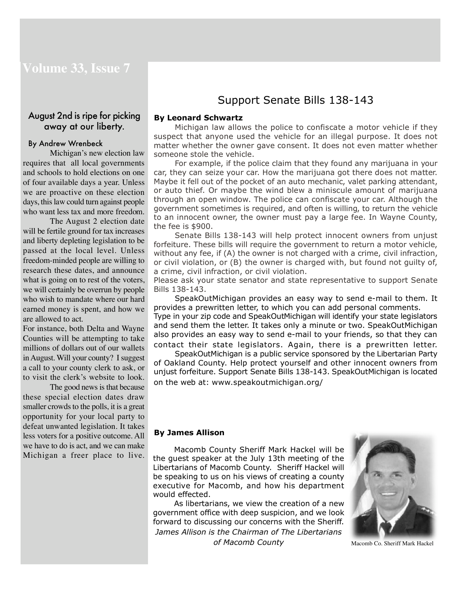**Volume 33. Issue 7** 

#### August 2nd is ripe for picking away at our liberty.

#### By Andrew Wrenbeck

Michigan's new election law requires that all local governments and schools to hold elections on one of four available days a year. Unless we are proactive on these election days, thislaw could turn against people who want less tax and more freedom.

The August 2 election date will be fertile ground for tax increases and liberty depleting legislation to be passed at the local level. Unless freedom-minded people are willing to research these dates, and announce what is going on to rest of the voters, we will certainly be overrun by people who wish to mandate where our hard earned money is spent, and how we are allowed to act.

For instance, both Delta and Wayne Counties will be attempting to take millions of dollars out of our wallets inAugust. Will your county? Isuggest a call to your county clerk to ask, or to visit the clerk's website to look.

The good news is that because these special election dates draw smaller crowds to the polls, it is a great opportunity for your local party to defeat unwanted legislation. It takes less voters for a positive outcome. All we have to do is act, and we can make Michigan a freer place to live.

### Support Senate Bills 138-143

#### **By Leonard Schwartz**

Michigan law allows the police to confiscate a motor vehicle if they suspect that anyone used the vehicle for an illegal purpose. It does not matter whether the owner gave consent. It does not even matter whether someone stole the vehicle.

For example, if the police claim that they found any marijuana in your car, they can seize your car. How the marijuana got there does not matter. Maybe it fell out of the pocket of an auto mechanic, valet parking attendant, or auto thief. Or maybe the wind blew a miniscule amount of marijuana through an open window. The police can confiscate your car. Although the government sometimes is required, and often is willing, to return the vehicle to an innocent owner, the owner must pay a large fee. In Wayne County, the fee is \$900.

Senate Bills 138-143 will help protect innocent owners from unjust forfeiture. These bills will require the government to return a motor vehicle, without any fee, if (A) the owner is not charged with a crime, civil infraction, or civil violation, or (B) the owner is charged with, but found not guilty of, a crime, civil infraction, or civil violation.

Please ask your state senator and state representative to support Senate Bills 138-143.

SpeakOutMichigan provides an easy way to send e-mail to them. It provides a prewritten letter, to which you can add personal comments. Type in your zip code and SpeakOutMichigan will identify your state legislators and send them the letter. It takes only a minute or two. SpeakOutMichigan also provides an easy way to send e-mail to your friends, so that they can contact their state legislators. Again, there is a prewritten letter.

SpeakOutMichigan is a public service sponsored by the Libertarian Party of Oakland County. Help protect yourself and other innocent owners from unjust forfeiture. Support Senate Bills 138-143. SpeakOutMichigan is located on the web at: www.speakoutmichigan.org/

#### **By James Allison**

Macomb County Sheriff Mark Hackel will be the guest speaker at the July 13th meeting of the Libertarians of Macomb County. Sheriff Hackel will be speaking to us on his views of creating a county executive for Macomb, and how his department would effected.

As libertarians, we view the creation of a new government office with deep suspicion, and we look forward to discussing our concerns with the Sheriff. *James Allison is the Chairman of The Libertarians of Macomb County* Macomb Co. Sheriff Mark Hackel

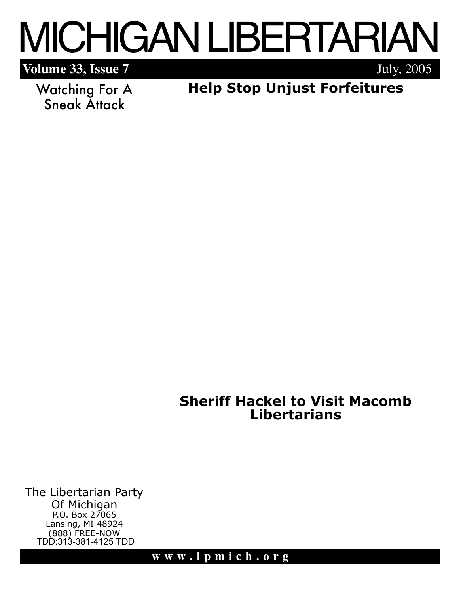# MICHIGANLIBERTARIAN

# **Volume 33, Issue 7** July, 2005

Watching For A Sneak Attack

**Help Stop Unjust Forfeitures**

**Sheriff Hackel to Visit Macomb Libertarians**

The Libertarian Party Of Michigan P.O. Box 27065 Lansing, MI 48924 (888) FREE-NOW TDD:313-381-4125 TDD

#### **w w w . l p m i c h . o r g**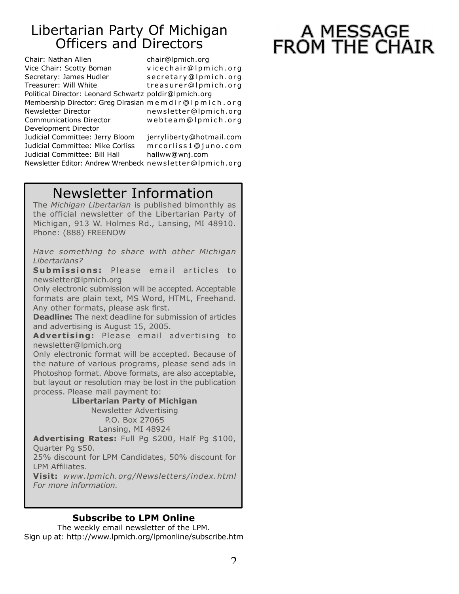# Libertarian Party Of Michigan Officers and Directors

Chair: Nathan Allen Vice Chair: Scotty Boman Secretary: James Hudler Treasurer: Will White Political Director: Leonard Schwartz poldir@lpmich.org Membership Director: Greg Dirasian m e m d i r @ l p m i c h . o r g Newsletter Director Communications Director Development Director Judicial Committee: Jerry Bloom Judicial Committee: Mike Corliss Judicial Committee: Bill Hall Newsletter Editor: Andrew Wrenbeck new sletter@lpmich.org

chair@lpmich.org vice chair@lpmich.org s e cretary @lpmich.org treasurer@lpmich.org new sletter@lpmich.org

w e b t e a m @ l p m i c h . o r g

jerryliberty@hotmail.com m r c o r liss 1@ ju n o . c o m hallww@wnj.com

# Newsletter Information

The *Michigan Libertarian* is published bimonthly as the official newsletter of the Libertarian Party of Michigan, 913 W. Holmes Rd., Lansing, MI 48910. Phone: (888) FREENOW

*Have something to share with other Michigan Libertarians?*

**Submissions:** Please email articles to newsletter@lpmich.org

Only electronic submission will be accepted. Acceptable formats are plain text, MS Word, HTML, Freehand. Any other formats, please ask first.

**Deadline:** The next deadline for submission of articles and advertising is August 15, 2005.

Advertising: Please email advertising to newsletter@lpmich.org

Only electronic format will be accepted. Because of the nature of various programs, please send ads in Photoshop format. Above formats, are also acceptable, but layout or resolution may be lost in the publication process. Please mail payment to:

**Libertarian Party of Michigan** Newsletter Advertising P.O. Box 27065 Lansing, MI 48924

**Advertising Rates:** Full Pg \$200, Half Pg \$100, Quarter Pg \$50.

25% discount for LPM Candidates, 50% discount for LPM Affiliates.

**Visit:** *www.lpmich.org/Newsletters/index.html For more information.*

#### **Subscribe to LPM Online**

The weekly email newsletter of the LPM. Sign up at: http://www.lpmich.org/lpmonline/subscribe.htm

# A MESSAGE<br>FROM THE CHAIR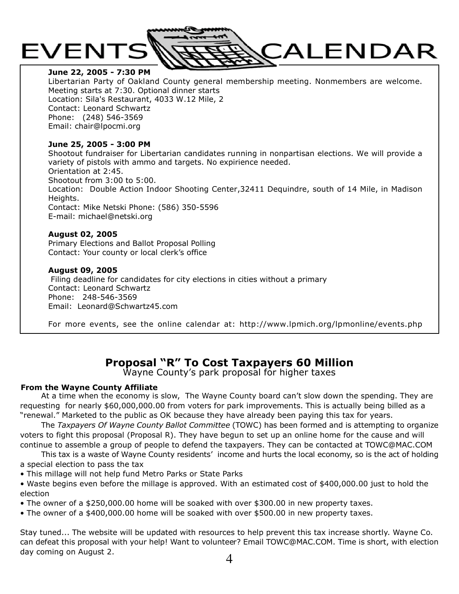## **EVENTS** CALENDAR **June 22, 2005 - 7:30 PM**

Libertarian Party of Oakland County general membership meeting. Nonmembers are welcome. Meeting starts at 7:30. Optional dinner starts Location: Sila's Restaurant, 4033 W.12 Mile, 2 Contact: Leonard Schwartz Phone: (248) 546-3569 Email: chair@lpocmi.org

### **June 25, 2005 - 3:00 PM**

Shootout fundraiser for Libertarian candidates running in nonpartisan elections. We will provide a variety of pistols with ammo and targets. No expirience needed. Orientation at 2:45. Shootout from 3:00 to 5:00. Location: Double Action Indoor Shooting Center,32411 Dequindre, south of 14 Mile, in Madison Heights. Contact: Mike Netski Phone: (586) 350-5596 E-mail: michael@netski.org

#### **August 02, 2005**

Primary Elections and Ballot Proposal Polling Contact: Your county or local clerk's office

#### **August 09, 2005**

 Filing deadline for candidates for city elections in cities without a primary Contact: Leonard Schwartz Phone: 248-546-3569 Email: Leonard@Schwartz45.com

For more events, see the online calendar at: http://www.lpmich.org/lpmonline/events.php

### **Proposal "R" To Cost Taxpayers 60 Million**

Wayne County's park proposal for higher taxes

#### **From the Wayne County Affiliate**

At a time when the economy is slow, The Wayne County board can't slow down the spending. They are requesting for nearly \$60,000,000.00 from voters for park improvements. This is actually being billed as a "renewal." Marketed to the public as OK because they have already been paying this tax for years.

The *Taxpayers Of Wayne County Ballot Committee* (TOWC) has been formed and is attempting to organize voters to fight this proposal (Proposal R). They have begun to set up an online home for the cause and will continue to assemble a group of people to defend the taxpayers. They can be contacted at TOWC@MAC.COM

This tax is a waste of Wayne County residents' income and hurts the local economy, so is the act of holding a special election to pass the tax

• This millage will not help fund Metro Parks or State Parks

• Waste begins even before the millage is approved. With an estimated cost of \$400,000.00 just to hold the election

• The owner of a \$250,000.00 home will be soaked with over \$300.00 in new property taxes.

• The owner of a \$400,000.00 home will be soaked with over \$500.00 in new property taxes.

Stay tuned... The website will be updated with resources to help prevent this tax increase shortly. Wayne Co. can defeat this proposal with your help! Want to volunteer? Email TOWC@MAC.COM. Time is short, with election day coming on August 2.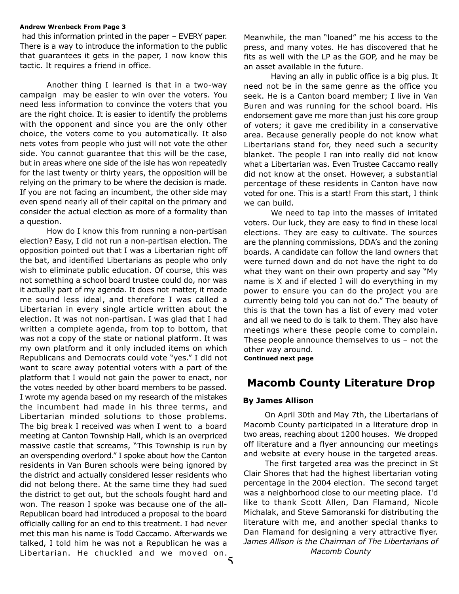#### **Andrew Wrenbeck From Page 3**

had this information printed in the paper – EVERY paper. There is a way to introduce the information to the public that guarantees it gets in the paper, I now know this tactic. It requires a friend in office.

Another thing I learned is that in a two-way campaign may be easier to win over the voters. You need less information to convince the voters that you are the right choice. It is easier to identify the problems with the opponent and since you are the only other choice, the voters come to you automatically. It also nets votes from people who just will not vote the other side. You cannot guarantee that this will be the case, but in areas where one side of the isle has won repeatedly for the last twenty or thirty years, the opposition will be relying on the primary to be where the decision is made. If you are not facing an incumbent, the other side may even spend nearly all of their capital on the primary and consider the actual election as more of a formality than a question.

5 How do I know this from running a non-partisan election? Easy, I did not run a non-partisan election. The opposition pointed out that I was a Libertarian right off the bat, and identified Libertarians as people who only wish to eliminate public education. Of course, this was not something a school board trustee could do, nor was it actually part of my agenda. It does not matter, it made me sound less ideal, and therefore I was called a Libertarian in every single article written about the election. It was not non-partisan. I was glad that I had written a complete agenda, from top to bottom, that was not a copy of the state or national platform. It was my own platform and it only included items on which Republicans and Democrats could vote "yes." I did not want to scare away potential voters with a part of the platform that I would not gain the power to enact, nor the votes needed by other board members to be passed. I wrote my agenda based on my research of the mistakes the incumbent had made in his three terms, and Libertarian minded solutions to those problems. The big break I received was when I went to a board meeting at Canton Township Hall, which is an overpriced massive castle that screams, "This Township is run by an overspending overlord." I spoke about how the Canton residents in Van Buren schools were being ignored by the district and actually considered lesser residents who did not belong there. At the same time they had sued the district to get out, but the schools fought hard and won. The reason I spoke was because one of the all-Republican board had introduced a proposal to the board officially calling for an end to this treatment. I had never met this man his name is Todd Caccamo. Afterwards we talked, I told him he was not a Republican he was a Libertarian. He chuckled and we moved on.

Meanwhile, the man "loaned" me his access to the press, and many votes. He has discovered that he fits as well with the LP as the GOP, and he may be an asset available in the future.

Having an ally in public office is a big plus. It need not be in the same genre as the office you seek. He is a Canton board member; I live in Van Buren and was running for the school board. His endorsement gave me more than just his core group of voters; it gave me credibility in a conservative area. Because generally people do not know what Libertarians stand for, they need such a security blanket. The people I ran into really did not know what a Libertarian was. Even Trustee Caccamo really did not know at the onset. However, a substantial percentage of these residents in Canton have now voted for one. This is a start! From this start, I think we can build.

We need to tap into the masses of irritated voters. Our luck, they are easy to find in these local elections. They are easy to cultivate. The sources are the planning commissions, DDA's and the zoning boards. A candidate can follow the land owners that were turned down and do not have the right to do what they want on their own property and say "My name is X and if elected I will do everything in my power to ensure you can do the project you are currently being told you can not do." The beauty of this is that the town has a list of every mad voter and all we need to do is talk to them. They also have meetings where these people come to complain. These people announce themselves to us – not the other way around.

**Continued next page**

#### **Macomb County Literature Drop**

#### **By James Allison**

On April 30th and May 7th, the Libertarians of Macomb County participated in a literature drop in two areas, reaching about 1200 houses. We dropped off literature and a flyer announcing our meetings and website at every house in the targeted areas.

The first targeted area was the precinct in St Clair Shores that had the highest libertarian voting percentage in the 2004 election. The second target was a neighborhood close to our meeting place. I'd like to thank Scott Allen, Dan Flamand, Nicole Michalak, and Steve Samoranski for distributing the literature with me, and another special thanks to Dan Flamand for designing a very attractive flyer. *James Allison is the Chairman of The Libertarians of Macomb County*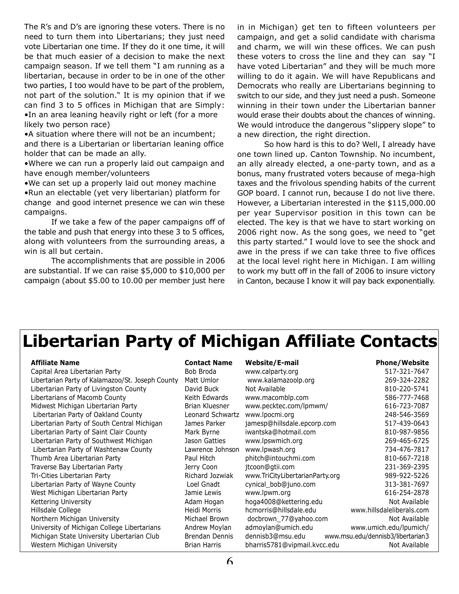The R's and D's are ignoring these voters. There is no need to turn them into Libertarians; they just need vote Libertarian one time. If they do it one time, it will be that much easier of a decision to make the next campaign season. If we tell them "I am running as a libertarian, because in order to be in one of the other two parties, I too would have to be part of the problem, not part of the solution." It is my opinion that if we can find 3 to 5 offices in Michigan that are Simply: •In an area leaning heavily right or left (for a more likely two person race)

•A situation where there will not be an incumbent; and there is a Libertarian or libertarian leaning office holder that can be made an ally.

•Where we can run a properly laid out campaign and have enough member/volunteers

•We can set up a properly laid out money machine •Run an electable (yet very libertarian) platform for change and good internet presence we can win these campaigns.

If we take a few of the paper campaigns off of the table and push that energy into these 3 to 5 offices, along with volunteers from the surrounding areas, a win is all but certain.

The accomplishments that are possible in 2006 are substantial. If we can raise \$5,000 to \$10,000 per campaign (about \$5.00 to 10.00 per member just here

in in Michigan) get ten to fifteen volunteers per campaign, and get a solid candidate with charisma and charm, we will win these offices. We can push these voters to cross the line and they can say "I have voted Libertarian" and they will be much more willing to do it again. We will have Republicans and Democrats who really are Libertarians beginning to switch to our side, and they just need a push. Someone winning in their town under the Libertarian banner would erase their doubts about the chances of winning. We would introduce the dangerous "slippery slope" to a new direction, the right direction.

So how hard is this to do? Well, I already have one town lined up. Canton Township. No incumbent, an ally already elected, a one-party town, and as a bonus, many frustrated voters because of mega-high taxes and the frivolous spending habits of the current GOP board. I cannot run, because I do not live there. However, a Libertarian interested in the \$115,000.00 per year Supervisor position in this town can be elected. The key is that we have to start working on 2006 right now. As the song goes, we need to "get this party started." I would love to see the shock and awe in the press if we can take three to five offices at the local level right here in Michigan. I am willing to work my butt off in the fall of 2006 to insure victory in Canton, because I know it will pay back exponentially.

# **Libertarian Party of Michigan Affiliate Contacts**

#### **Affiliate Name**

Capital Area Libertarian Party Libertarian Party of Kalamazoo/St. Joseph County Libertarian Party of Livingston County Libertarians of Macomb County Midwest Michigan Libertarian Party Libertarian Party of Oakland County Libertarian Party of South Central Michigan Libertarian Party of Saint Clair County Libertarian Party of Southwest Michigan Libertarian Party of Washtenaw County Thumb Area Libertarian Party Traverse Bay Libertarian Party Tri-Cities Libertarian Party Libertarian Party of Wayne County West Michigan Libertarian Party Kettering University Hillsdale College Northern Michigan University University of Michigan College Libertarians Michigan State University Libertarian Club Western Michigan University

#### **Contact Name**

Bob Broda Matt Umlor David Buck Keith Edwards Brian Kluesner Leonard Schwa James Parker Mark Byrne Jason Gatties Lawrence Johns Paul Hitch Jerry Coon Richard Jozwiak Loel Gnadt Jamie Lewis Adam Hogan Heidi Morris Michael Brown Andrew Moylan Brendan Dennis Brian Harris

| ₿    | <b>Website/E-mail</b>           | <b>Phone/Website</b>              |
|------|---------------------------------|-----------------------------------|
|      | www.calparty.org                | 517-321-7647                      |
|      | www.kalamazoolp.org             | 269-324-2282                      |
|      | Not Available                   | 810-220-5741                      |
|      | www.macomblp.com                | 586-777-7468                      |
|      | www.pecktec.com/lpmwm/          | 616-723-7087                      |
| ırtz | www.lpocmi.org                  | 248-546-3569                      |
|      | jamesp@hillsdale.epcorp.com     | 517-439-0643                      |
|      | iwantska@hotmail.com            | 810-987-9856                      |
|      | www.lpswmich.org                | 269-465-6725                      |
| son  | www.lpwash.org                  | 734-476-7817                      |
|      | phitch@intouchmi.com            | 810-667-7218                      |
|      | jtcoon@gtii.com                 | 231-369-2395                      |
| k    | www.TriCityLibertarianParty.org | 989-922-5226                      |
|      | cynical_bob@juno.com            | 313-381-7697                      |
|      | www.lpwm.org                    | 616-254-2878                      |
|      | hoga4008@kettering.edu          | Not Available                     |
|      | hcmorris@hillsdale.edu          | www.hillsdaleliberals.com         |
|      | docbrown_77@yahoo.com           | Not Available                     |
|      | admoylan@umich.edu              | www.umich.edu/lpumich/            |
| Ś    | dennisb3@msu.edu                | www.msu.edu/dennisb3/libertarian3 |

Not Available

bharris5781@vipmail.kvcc.edu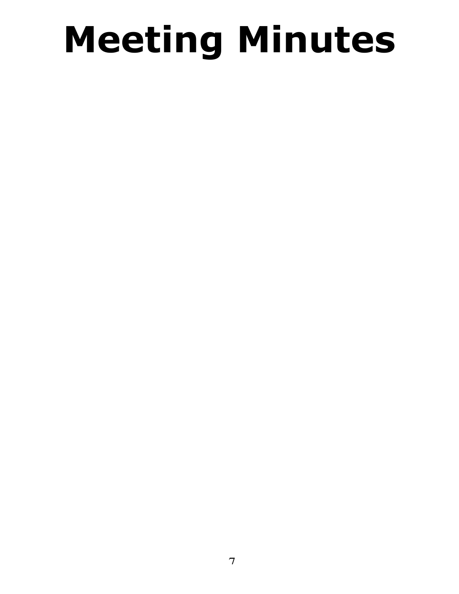# **Meeting Minutes**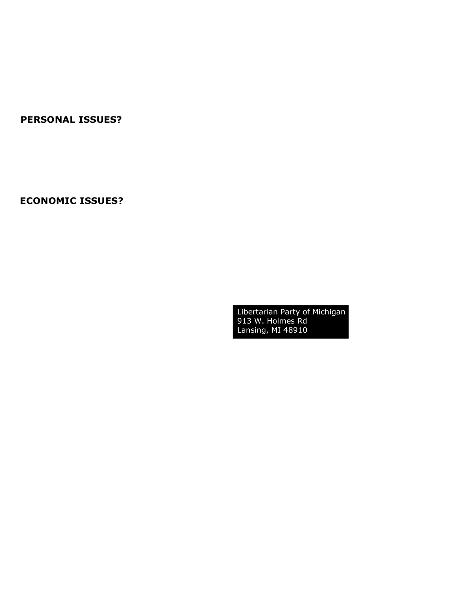#### **PERSONAL ISSUES?**

**ECONOMIC ISSUES?**

Libertarian Party of Michigan 913 W. Holmes Rd Lansing, MI 48910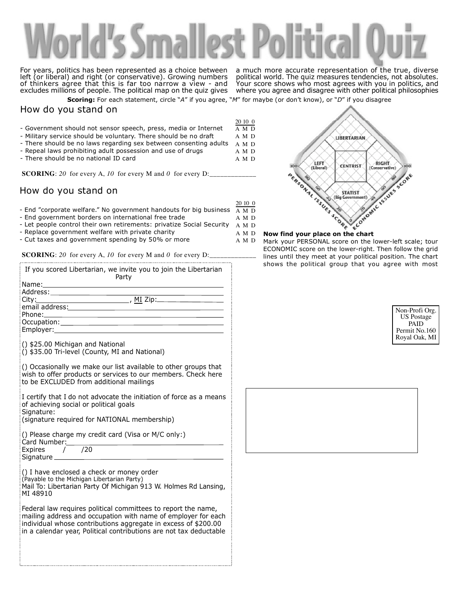For years, politics has been represented as a choice between left (or liberal) and right (or conservative). Growing numbers of thinkers agree that this is far too narrow a view - and excludes millions of people. The political map on the quiz gives

**Scoring:** For each statement, circle "*A*" if you agree, "*M*" for maybe (or don't know), or "*D*" if you disagree a much more accurate representation of the true, diverse political world. The quiz measures tendencies, not absolutes. Your score shows who most agrees with you in politics, and where you agree and disagree with other political philosophies

How do you stand on

- Government should not sensor speech, press, media or Internet
- Military service should be voluntary. There should be no draft
- There should be no laws regarding sex between consenting adults A M D
- Repeal laws prohibiting adult possession and use of drugs A M D A M D
- There should be no national ID card

**SCORING**: 20 for every A, 10 for every M and 0 for every D:

#### How do you stand on

- End "corporate welfare." No government handouts for big business 20 10 0 A M D
- End government borders on international free trade
- Let people control their own retirements: privatize Social Security A M D A M D
- Replace government welfare with private charity
- Cut taxes and government spending by 50% or more

**SCORING**: 20 for every A, 10 for every M and 0 for every D:

| If you scored Libertarian, we invite you to join the Libertarian<br>Party                                                                                                   |  |  |
|-----------------------------------------------------------------------------------------------------------------------------------------------------------------------------|--|--|
|                                                                                                                                                                             |  |  |
| Address:__________________________________<br>the control of the control of the control of                                                                                  |  |  |
| $City:$ $MI Zip:$                                                                                                                                                           |  |  |
|                                                                                                                                                                             |  |  |
|                                                                                                                                                                             |  |  |
|                                                                                                                                                                             |  |  |
| () \$25.00 Michigan and National<br>() \$35.00 Tri-level (County, MI and National)                                                                                          |  |  |
| () Occasionally we make our list available to other groups that<br>wish to offer products or services to our members. Check here<br>to be EXCLUDED from additional mailings |  |  |
| I certify that I do not advocate the initiation of force as a means<br>of achieving social or political goals<br>Signature:                                                 |  |  |
| (signature required for NATIONAL membership)                                                                                                                                |  |  |
| () Please charge my credit card (Visa or M/C only:)<br>Card Number:                                                                                                         |  |  |
| Expires / /20                                                                                                                                                               |  |  |
| () I have enclosed a check or money order<br>(Payable to the Michigan Libertarian Party)<br>Mail To: Libertarian Party Of Michigan 913 W. Holmes Rd Lansing,<br>MI 48910    |  |  |
| Federal law requires political committees to report the name,<br>mailing address and occupation with name of employer for each                                              |  |  |

individual whose contributions aggregate in excess of \$200.00 in a calendar year, Political contributions are not tax deductable



#### A M D A M D

Mark your PERSONAL score on the lower-left scale; tour ECONOMIC score on the lower-right. Then follow the grid lines until they meet at your political position. The chart shows the political group that you agree with most





20 10 0 A M D A M D